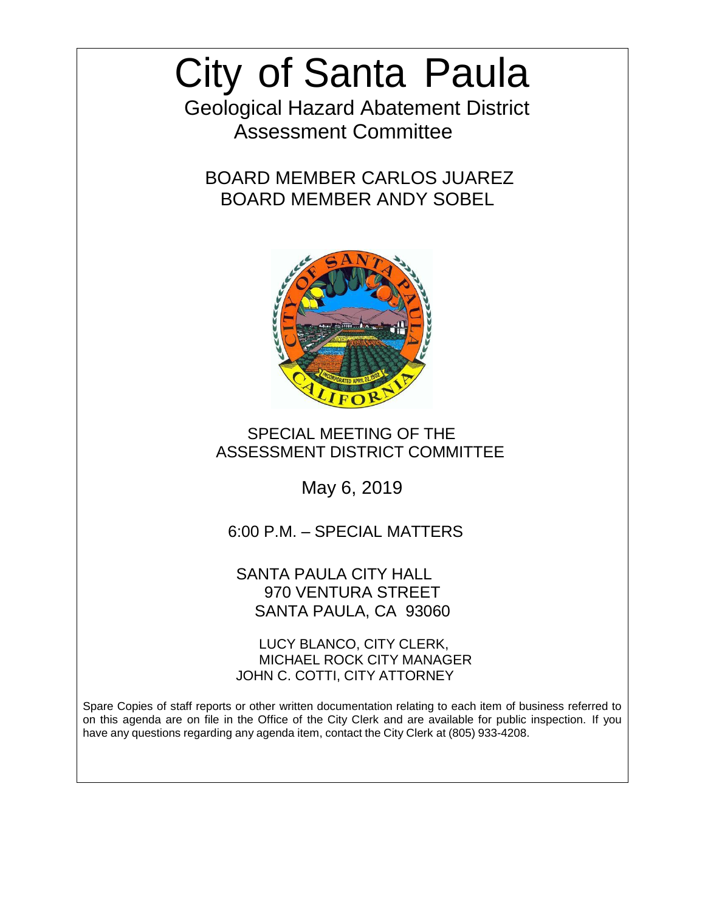# City of Santa Paula

 Geological Hazard Abatement District Assessment Committee

BOARD MEMBER CARLOS JUAREZ BOARD MEMBER ANDY SOBEL



# SPECIAL MEETING OF THE ASSESSMENT DISTRICT COMMITTEE

May 6, 2019

6:00 P.M. – SPECIAL MATTERS

SANTA PAULA CITY HALL 970 VENTURA STREET SANTA PAULA, CA 93060

LUCY BLANCO, CITY CLERK, MICHAEL ROCK CITY MANAGER JOHN C. COTTI, CITY ATTORNEY

Spare Copies of staff reports or other written documentation relating to each item of business referred to on this agenda are on file in the Office of the City Clerk and are available for public inspection. If you have any questions regarding any agenda item, contact the City Clerk at (805) 933-4208.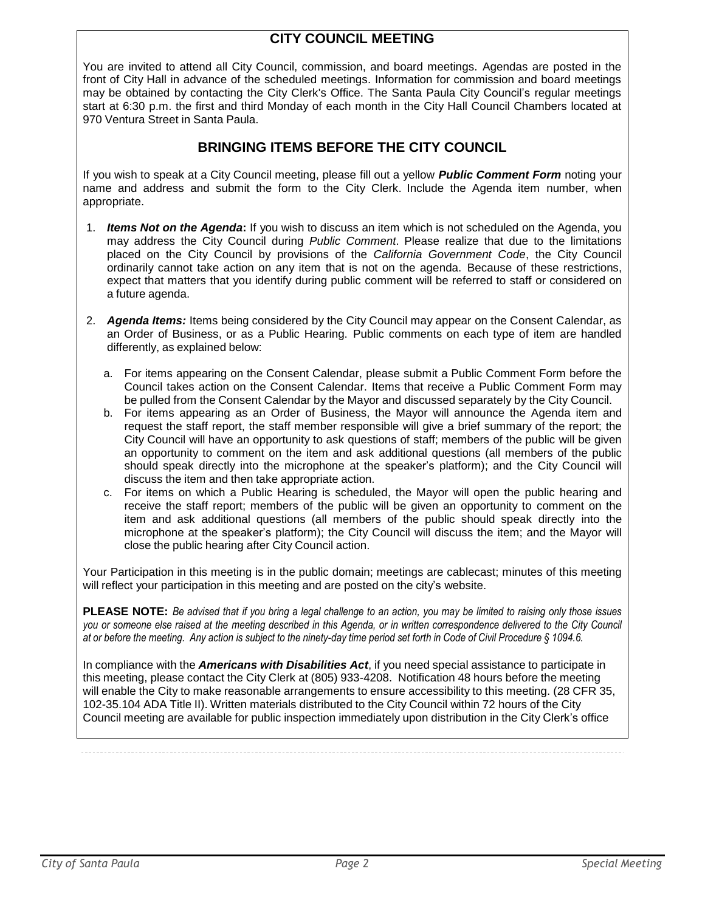# **CITY COUNCIL MEETING**

You are invited to attend all City Council, commission, and board meetings. Agendas are posted in the front of City Hall in advance of the scheduled meetings. Information for commission and board meetings may be obtained by contacting the City Clerk's Office. The Santa Paula City Council's regular meetings start at 6:30 p.m. the first and third Monday of each month in the City Hall Council Chambers located at 970 Ventura Street in Santa Paula.

#### **BRINGING ITEMS BEFORE THE CITY COUNCIL**

If you wish to speak at a City Council meeting, please fill out a yellow *Public Comment Form* noting your name and address and submit the form to the City Clerk. Include the Agenda item number, when appropriate.

- 1. *Items Not on the Agenda***:** If you wish to discuss an item which is not scheduled on the Agenda, you may address the City Council during *Public Comment*. Please realize that due to the limitations placed on the City Council by provisions of the *California Government Code*, the City Council ordinarily cannot take action on any item that is not on the agenda. Because of these restrictions, expect that matters that you identify during public comment will be referred to staff or considered on a future agenda.
- 2. *Agenda Items:* Items being considered by the City Council may appear on the Consent Calendar, as an Order of Business, or as a Public Hearing. Public comments on each type of item are handled differently, as explained below:
	- a. For items appearing on the Consent Calendar, please submit a Public Comment Form before the Council takes action on the Consent Calendar. Items that receive a Public Comment Form may be pulled from the Consent Calendar by the Mayor and discussed separately by the City Council.
	- b. For items appearing as an Order of Business, the Mayor will announce the Agenda item and request the staff report, the staff member responsible will give a brief summary of the report; the City Council will have an opportunity to ask questions of staff; members of the public will be given an opportunity to comment on the item and ask additional questions (all members of the public should speak directly into the microphone at the speaker's platform); and the City Council will discuss the item and then take appropriate action.
	- c. For items on which a Public Hearing is scheduled, the Mayor will open the public hearing and receive the staff report; members of the public will be given an opportunity to comment on the item and ask additional questions (all members of the public should speak directly into the microphone at the speaker's platform); the City Council will discuss the item; and the Mayor will close the public hearing after City Council action.

Your Participation in this meeting is in the public domain; meetings are cablecast; minutes of this meeting will reflect your participation in this meeting and are posted on the city's website.

PLEASE NOTE: Be advised that if you bring a legal challenge to an action, you may be limited to raising only those issues you or someone else raised at the meeting described in this Agenda, or in written correspondence delivered to the City Council at or before the meeting. Any action is subject to the ninety-day time period set forth in Code of Civil Procedure § 1094.6.

In compliance with the *Americans with Disabilities Act*, if you need special assistance to participate in this meeting, please contact the City Clerk at (805) 933-4208. Notification 48 hours before the meeting will enable the City to make reasonable arrangements to ensure accessibility to this meeting. (28 CFR 35, 102-35.104 ADA Title II). Written materials distributed to the City Council within 72 hours of the City Council meeting are available for public inspection immediately upon distribution in the City Clerk's office